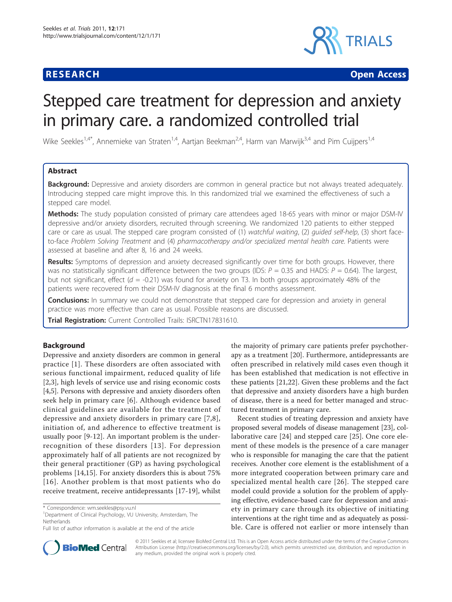# **RESEARCH CHRISTIAN CONSUMING CONTRACT CONSUMING CONSUMING CONSUMING CONSUMING CONSUMING CONSUMING CONSUMING CO**



# Stepped care treatment for depression and anxiety in primary care. a randomized controlled trial

Wike Seekles<sup>1,4\*</sup>, Annemieke van Straten<sup>1,4</sup>, Aartjan Beekman<sup>2,4</sup>, Harm van Marwijk<sup>3,4</sup> and Pim Cuijpers<sup>1,4</sup>

# Abstract

Background: Depressive and anxiety disorders are common in general practice but not always treated adequately. Introducing stepped care might improve this. In this randomized trial we examined the effectiveness of such a stepped care model.

Methods: The study population consisted of primary care attendees aged 18-65 years with minor or major DSM-IV depressive and/or anxiety disorders, recruited through screening. We randomized 120 patients to either stepped care or care as usual. The stepped care program consisted of (1) watchful waiting, (2) guided self-help, (3) short faceto-face Problem Solving Treatment and (4) pharmacotherapy and/or specialized mental health care. Patients were assessed at baseline and after 8, 16 and 24 weeks.

Results: Symptoms of depression and anxiety decreased significantly over time for both groups. However, there was no statistically significant difference between the two groups (IDS:  $P = 0.35$  and HADS:  $P = 0.64$ ). The largest, but not significant, effect ( $d = -0.21$ ) was found for anxiety on T3. In both groups approximately 48% of the patients were recovered from their DSM-IV diagnosis at the final 6 months assessment.

**Conclusions:** In summary we could not demonstrate that stepped care for depression and anxiety in general practice was more effective than care as usual. Possible reasons are discussed.

Trial Registration: Current Controlled Trails: [ISRCTN17831610](http://www.controlled-trials.com/ISRCTN17831610).

# Background

Depressive and anxiety disorders are common in general practice [[1\]](#page-8-0). These disorders are often associated with serious functional impairment, reduced quality of life [[2,3\]](#page-8-0), high levels of service use and rising economic costs [[4,5\]](#page-8-0). Persons with depressive and anxiety disorders often seek help in primary care [[6\]](#page-8-0). Although evidence based clinical guidelines are available for the treatment of depressive and anxiety disorders in primary care [[7](#page-8-0),[8\]](#page-8-0), initiation of, and adherence to effective treatment is usually poor [[9-12](#page-8-0)]. An important problem is the underrecognition of these disorders [[13](#page-8-0)]. For depression approximately half of all patients are not recognized by their general practitioner (GP) as having psychological problems [[14,15\]](#page-8-0). For anxiety disorders this is about 75% [[16](#page-8-0)]. Another problem is that most patients who do receive treatment, receive antidepressants [\[17](#page-8-0)-[19\]](#page-8-0), whilst

the majority of primary care patients prefer psychotherapy as a treatment [[20](#page-8-0)]. Furthermore, antidepressants are often prescribed in relatively mild cases even though it has been established that medication is not effective in these patients [\[21,22](#page-9-0)]. Given these problems and the fact that depressive and anxiety disorders have a high burden of disease, there is a need for better managed and structured treatment in primary care.

Recent studies of treating depression and anxiety have proposed several models of disease management [[23](#page-9-0)], collaborative care [\[24](#page-9-0)] and stepped care [[25\]](#page-9-0). One core element of these models is the presence of a care manager who is responsible for managing the care that the patient receives. Another core element is the establishment of a more integrated cooperation between primary care and specialized mental health care [[26](#page-9-0)]. The stepped care model could provide a solution for the problem of applying effective, evidence-based care for depression and anxiety in primary care through its objective of initiating interventions at the right time and as adequately as possible. Care is offered not earlier or more intensely than



© 2011 Seekles et al; licensee BioMed Central Ltd. This is an Open Access article distributed under the terms of the Creative Commons Attribution License [\(http://creativecommons.org/licenses/by/2.0](http://creativecommons.org/licenses/by/2.0)), which permits unrestricted use, distribution, and reproduction in any medium, provided the original work is properly cited.

<sup>\*</sup> Correspondence: [wm.seekles@psy.vu.nl](mailto:wm.seekles@psy.vu.nl)

<sup>&</sup>lt;sup>1</sup>Department of Clinical Psychology, VU University, Amsterdam, The Netherlands

Full list of author information is available at the end of the article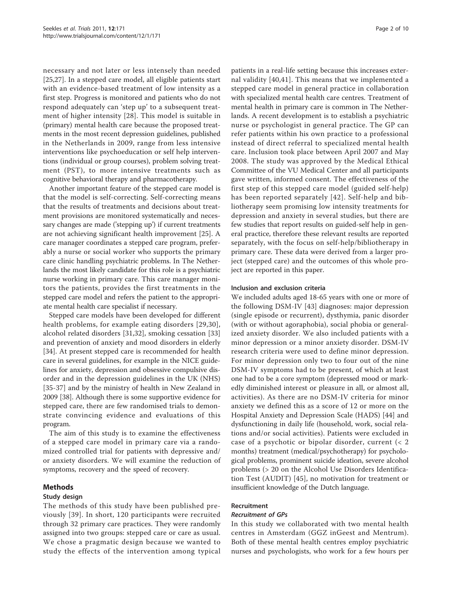necessary and not later or less intensely than needed [[25,27\]](#page-9-0). In a stepped care model, all eligible patients start with an evidence-based treatment of low intensity as a first step. Progress is monitored and patients who do not respond adequately can 'step up' to a subsequent treatment of higher intensity [\[28](#page-9-0)]. This model is suitable in (primary) mental health care because the proposed treatments in the most recent depression guidelines, published in the Netherlands in 2009, range from less intensive interventions like psychoeducation or self help interventions (individual or group courses), problem solving treatment (PST), to more intensive treatments such as cognitive behavioral therapy and pharmacotherapy.

Another important feature of the stepped care model is that the model is self-correcting. Self-correcting means that the results of treatments and decisions about treatment provisions are monitored systematically and necessary changes are made ('stepping up') if current treatments are not achieving significant health improvement [\[25](#page-9-0)]. A care manager coordinates a stepped care program, preferably a nurse or social worker who supports the primary care clinic handling psychiatric problems. In The Netherlands the most likely candidate for this role is a psychiatric nurse working in primary care. This care manager monitors the patients, provides the first treatments in the stepped care model and refers the patient to the appropriate mental health care specialist if necessary.

Stepped care models have been developed for different health problems, for example eating disorders [[29](#page-9-0),[30\]](#page-9-0), alcohol related disorders [[31,32](#page-9-0)], smoking cessation [\[33](#page-9-0)] and prevention of anxiety and mood disorders in elderly [[34\]](#page-9-0). At present stepped care is recommended for health care in several guidelines, for example in the NICE guidelines for anxiety, depression and obsessive compulsive disorder and in the depression guidelines in the UK (NHS) [[35-37\]](#page-9-0) and by the ministry of health in New Zealand in 2009 [[38\]](#page-9-0). Although there is some supportive evidence for stepped care, there are few randomised trials to demonstrate convincing evidence and evaluations of this program.

The aim of this study is to examine the effectiveness of a stepped care model in primary care via a randomized controlled trial for patients with depressive and/ or anxiety disorders. We will examine the reduction of symptoms, recovery and the speed of recovery.

#### Methods

#### Study design

The methods of this study have been published previously [[39](#page-9-0)]. In short, 120 participants were recruited through 32 primary care practices. They were randomly assigned into two groups: stepped care or care as usual. We chose a pragmatic design because we wanted to study the effects of the intervention among typical

patients in a real-life setting because this increases external validity [[40,41\]](#page-9-0). This means that we implemented a stepped care model in general practice in collaboration with specialized mental health care centres. Treatment of mental health in primary care is common in The Netherlands. A recent development is to establish a psychiatric nurse or psychologist in general practice. The GP can refer patients within his own practice to a professional instead of direct referral to specialized mental health care. Inclusion took place between April 2007 and May 2008. The study was approved by the Medical Ethical Committee of the VU Medical Center and all participants gave written, informed consent. The effectiveness of the first step of this stepped care model (guided self-help) has been reported separately [[42\]](#page-9-0). Self-help and bibliotherapy seem promising low intensity treatments for depression and anxiety in several studies, but there are few studies that report results on guided-self help in general practice, therefore these relevant results are reported separately, with the focus on self-help/bibliotherapy in primary care. These data were derived from a larger project (stepped care) and the outcomes of this whole project are reported in this paper.

#### Inclusion and exclusion criteria

We included adults aged 18-65 years with one or more of the following DSM-IV [[43\]](#page-9-0) diagnoses: major depression (single episode or recurrent), dysthymia, panic disorder (with or without agoraphobia), social phobia or generalized anxiety disorder. We also included patients with a minor depression or a minor anxiety disorder. DSM-IV research criteria were used to define minor depression. For minor depression only two to four out of the nine DSM-IV symptoms had to be present, of which at least one had to be a core symptom (depressed mood or markedly diminished interest or pleasure in all, or almost all, activities). As there are no DSM-IV criteria for minor anxiety we defined this as a score of 12 or more on the Hospital Anxiety and Depression Scale (HADS) [\[44](#page-9-0)] and dysfunctioning in daily life (household, work, social relations and/or social activities). Patients were excluded in case of a psychotic or bipolar disorder, current (< 2 months) treatment (medical/psychotherapy) for psychological problems, prominent suicide ideation, severe alcohol problems (> 20 on the Alcohol Use Disorders Identification Test (AUDIT) [\[45](#page-9-0)], no motivation for treatment or insufficient knowledge of the Dutch language.

# Recruitment

#### Recruitment of GPs

In this study we collaborated with two mental health centres in Amsterdam (GGZ inGeest and Mentrum). Both of these mental health centres employ psychiatric nurses and psychologists, who work for a few hours per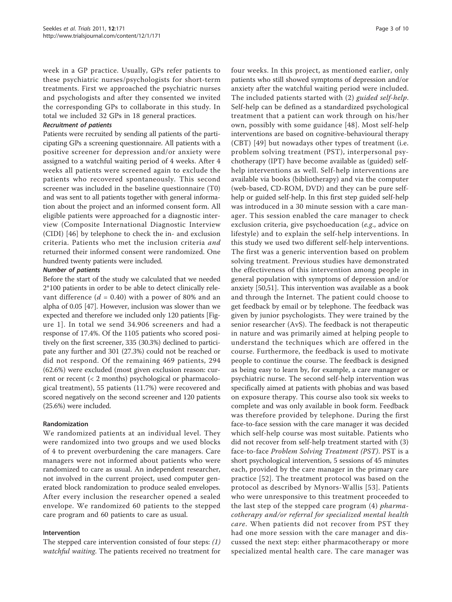week in a GP practice. Usually, GPs refer patients to these psychiatric nurses/psychologists for short-term treatments. First we approached the psychiatric nurses and psychologists and after they consented we invited the corresponding GPs to collaborate in this study. In total we included 32 GPs in 18 general practices.

#### Recruitment of patients

Patients were recruited by sending all patients of the participating GPs a screening questionnaire. All patients with a positive screener for depression and/or anxiety were assigned to a watchful waiting period of 4 weeks. After 4 weeks all patients were screened again to exclude the patients who recovered spontaneously. This second screener was included in the baseline questionnaire (T0) and was sent to all patients together with general information about the project and an informed consent form. All eligible patients were approached for a diagnostic interview (Composite International Diagnostic Interview (CIDI) [\[46](#page-9-0)] by telephone to check the in- and exclusion criteria. Patients who met the inclusion criteria and returned their informed consent were randomized. One hundred twenty patients were included.

#### Number of patients

Before the start of the study we calculated that we needed 2\*100 patients in order to be able to detect clinically relevant difference ( $d = 0.40$ ) with a power of 80% and an alpha of 0.05 [\[47](#page-9-0)]. However, inclusion was slower than we expected and therefore we included only 120 patients [Figure [1](#page-3-0)]. In total we send 34.906 screeners and had a response of 17.4%. Of the 1105 patients who scored positively on the first screener, 335 (30.3%) declined to participate any further and 301 (27.3%) could not be reached or did not respond. Of the remaining 469 patients, 294 (62.6%) were excluded (most given exclusion reason: current or recent (< 2 months) psychological or pharmacological treatment), 55 patients (11.7%) were recovered and scored negatively on the second screener and 120 patients (25.6%) were included.

#### Randomization

We randomized patients at an individual level. They were randomized into two groups and we used blocks of 4 to prevent overburdening the care managers. Care managers were not informed about patients who were randomized to care as usual. An independent researcher, not involved in the current project, used computer generated block randomization to produce sealed envelopes. After every inclusion the researcher opened a sealed envelope. We randomized 60 patients to the stepped care program and 60 patients to care as usual.

#### Intervention

The stepped care intervention consisted of four steps: (1) watchful waiting. The patients received no treatment for four weeks. In this project, as mentioned earlier, only patients who still showed symptoms of depression and/or anxiety after the watchful waiting period were included. The included patients started with (2) guided self-help. Self-help can be defined as a standardized psychological treatment that a patient can work through on his/her own, possibly with some guidance [[48](#page-9-0)]. Most self-help interventions are based on cognitive-behavioural therapy (CBT) [[49\]](#page-9-0) but nowadays other types of treatment (i.e. problem solving treatment (PST), interpersonal psychotherapy (IPT) have become available as (guided) selfhelp interventions as well. Self-help interventions are available via books (bibliotherapy) and via the computer (web-based, CD-ROM, DVD) and they can be pure selfhelp or guided self-help. In this first step guided self-help was introduced in a 30 minute session with a care manager. This session enabled the care manager to check exclusion criteria, give psychoeducation (e.g., advice on lifestyle) and to explain the self-help interventions. In this study we used two different self-help interventions. The first was a generic intervention based on problem solving treatment. Previous studies have demonstrated the effectiveness of this intervention among people in general population with symptoms of depression and/or anxiety [\[50,51\]](#page-9-0). This intervention was available as a book and through the Internet. The patient could choose to get feedback by email or by telephone. The feedback was given by junior psychologists. They were trained by the senior researcher (AvS). The feedback is not therapeutic in nature and was primarily aimed at helping people to understand the techniques which are offered in the course. Furthermore, the feedback is used to motivate people to continue the course. The feedback is designed as being easy to learn by, for example, a care manager or psychiatric nurse. The second self-help intervention was specifically aimed at patients with phobias and was based on exposure therapy. This course also took six weeks to complete and was only available in book form. Feedback was therefore provided by telephone. During the first face-to-face session with the care manager it was decided which self-help course was most suitable. Patients who did not recover from self-help treatment started with (3) face-to-face Problem Solving Treatment (PST). PST is a short psychological intervention, 5 sessions of 45 minutes each, provided by the care manager in the primary care practice [[52\]](#page-9-0). The treatment protocol was based on the protocol as described by Mynors-Wallis [[53](#page-9-0)]. Patients who were unresponsive to this treatment proceeded to the last step of the stepped care program (4) pharmacotherapy and/or referral for specialized mental health care. When patients did not recover from PST they had one more session with the care manager and discussed the next step: either pharmacotherapy or more specialized mental health care. The care manager was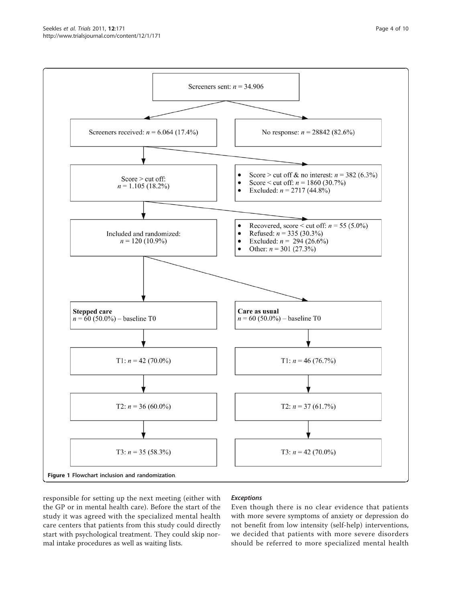<span id="page-3-0"></span>

responsible for setting up the next meeting (either with the GP or in mental health care). Before the start of the study it was agreed with the specialized mental health care centers that patients from this study could directly start with psychological treatment. They could skip normal intake procedures as well as waiting lists.

# Exceptions

Even though there is no clear evidence that patients with more severe symptoms of anxiety or depression do not benefit from low intensity (self-help) interventions, we decided that patients with more severe disorders should be referred to more specialized mental health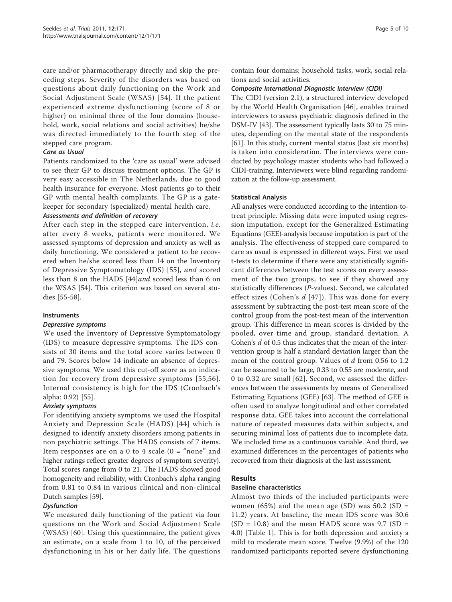care and/or pharmacotherapy directly and skip the preceding steps. Severity of the disorders was based on questions about daily functioning on the Work and Social Adjustment Scale (WSAS) [[54\]](#page-9-0). If the patient experienced extreme dysfunctioning (score of 8 or higher) on minimal three of the four domains (household, work, social relations and social activities) he/she was directed immediately to the fourth step of the stepped care program.

#### Care as Usual

Patients randomized to the 'care as usual' were advised to see their GP to discuss treatment options. The GP is very easy accessible in The Netherlands, due to good health insurance for everyone. Most patients go to their GP with mental health complaints. The GP is a gatekeeper for secondary (specialized) mental health care.

#### Assessments and definition of recovery

After each step in the stepped care intervention, *i.e.* after every 8 weeks, patients were monitored. We assessed symptoms of depression and anxiety as well as daily functioning. We considered a patient to be recovered when he/she scored less than 14 on the Inventory of Depressive Symptomatology (IDS) [\[55\]](#page-9-0), and scored less than 8 on the HADS [[44\]](#page-9-0)and scored less than 6 on the WSAS [\[54](#page-9-0)]. This criterion was based on several studies [[55-58](#page-9-0)].

#### Instruments

#### Depressive symptoms

We used the Inventory of Depressive Symptomatology (IDS) to measure depressive symptoms. The IDS consists of 30 items and the total score varies between 0 and 79. Scores below 14 indicate an absence of depressive symptoms. We used this cut-off score as an indication for recovery from depressive symptoms [[55,56\]](#page-9-0). Internal consistency is high for the IDS (Cronbach's alpha: 0.92) [\[55\]](#page-9-0).

# Anxiety symptoms

For identifying anxiety symptoms we used the Hospital Anxiety and Depression Scale (HADS) [[44\]](#page-9-0) which is designed to identify anxiety disorders among patients in non psychiatric settings. The HADS consists of 7 items. Item responses are on a 0 to 4 scale  $(0 = "none"$  and higher ratings reflect greater degrees of symptom severity). Total scores range from 0 to 21. The HADS showed good homogeneity and reliability, with Cronbach's alpha ranging from 0.81 to 0.84 in various clinical and non-clinical Dutch samples [\[59\]](#page-9-0).

#### **Dysfunction**

We measured daily functioning of the patient via four questions on the Work and Social Adjustment Scale (WSAS) [[60\]](#page-9-0). Using this questionnaire, the patient gives an estimate, on a scale from 1 to 10, of the perceived dysfunctioning in his or her daily life. The questions contain four domains: household tasks, work, social relations and social activities.

# Composite International Diagnostic Interview (CIDI)

The CIDI (version 2.1), a structured interview developed by the World Health Organisation [[46](#page-9-0)], enables trained interviewers to assess psychiatric diagnosis defined in the DSM-IV [[43](#page-9-0)]. The assessment typically lasts 30 to 75 minutes, depending on the mental state of the respondents [[61\]](#page-9-0). In this study, current mental status (last six months) is taken into consideration. The interviews were conducted by psychology master students who had followed a CIDI-training. Interviewers were blind regarding randomization at the follow-up assessment.

#### Statistical Analysis

All analyses were conducted according to the intention-totreat principle. Missing data were imputed using regression imputation, except for the Generalized Estimating Equations (GEE)-analysis because imputation is part of the analysis. The effectiveness of stepped care compared to care as usual is expressed in different ways. First we used t-tests to determine if there were any statistically significant differences between the test scores on every assessment of the two groups, to see if they showed any statistically differences (P-values). Second, we calculated effect sizes (Cohen's  $d$  [[47](#page-9-0)]). This was done for every assessment by subtracting the post-test mean score of the control group from the post-test mean of the intervention group. This difference in mean scores is divided by the pooled, over time and group, standard deviation. A Cohen's d of 0.5 thus indicates that the mean of the intervention group is half a standard deviation larger than the mean of the control group. Values of d from 0.56 to 1.2 can be assumed to be large, 0.33 to 0.55 are moderate, and 0 to 0.32 are small [\[62\]](#page-9-0). Second, we assessed the differences between the assessments by means of Generalized Estimating Equations (GEE) [\[63\]](#page-9-0). The method of GEE is often used to analyze longitudinal and other correlated response data. GEE takes into account the correlational nature of repeated measures data within subjects, and securing minimal loss of patients due to incomplete data. We included time as a continuous variable. And third, we examined differences in the percentages of patients who recovered from their diagnosis at the last assessment.

# Results

#### Baseline characteristics

Almost two thirds of the included participants were women (65%) and the mean age (SD) was  $50.2$  (SD = 11.2) years. At baseline, the mean IDS score was 30.6  $(SD = 10.8)$  and the mean HADS score was 9.7  $(SD =$ 4.0) [Table [1](#page-5-0)]. This is for both depression and anxiety a mild to moderate mean score. Twelve (9.9%) of the 120 randomized participants reported severe dysfunctioning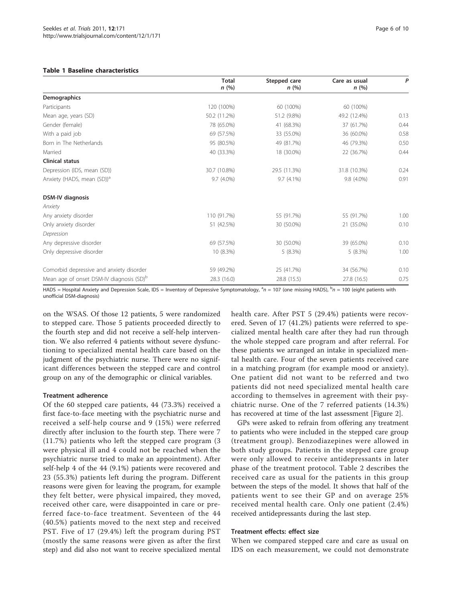#### <span id="page-5-0"></span>Table 1 Baseline characteristics

|                                                      | <b>Total</b><br>n(%) | Stepped care<br>n(%) | Care as usual<br>n(%) | P    |
|------------------------------------------------------|----------------------|----------------------|-----------------------|------|
| Demographics                                         |                      |                      |                       |      |
| Participants                                         | 120 (100%)           | 60 (100%)            | 60 (100%)             |      |
| Mean age, years (SD)                                 | 50.2 (11.2%)         | 51.2 (9.8%)          | 49.2 (12.4%)          | 0.13 |
| Gender (female)                                      | 78 (65.0%)           | 41 (68.3%)           | 37 (61.7%)            | 0.44 |
| With a paid job                                      | 69 (57.5%)           | 33 (55.0%)           | 36 (60.0%)            | 0.58 |
| Born in The Netherlands                              | 95 (80.5%)           | 49 (81.7%)           | 46 (79.3%)            | 0.50 |
| Married                                              | 40 (33.3%)           | 18 (30.0%)           | 22 (36.7%)            | 0.44 |
| <b>Clinical status</b>                               |                      |                      |                       |      |
| Depression (IDS, mean (SD))                          | 30.7 (10.8%)         | 29.5 (11.3%)         | 31.8 (10.3%)          | 0.24 |
| Anxiety (HADS, mean (SD)) <sup>a</sup>               | 9.7 (4.0%)           | 9.7 (4.1%)           | 9.8 (4.0%)            | 0.91 |
| <b>DSM-IV diagnosis</b>                              |                      |                      |                       |      |
| Anxiety                                              |                      |                      |                       |      |
| Any anxiety disorder                                 | 110 (91.7%)          | 55 (91.7%)           | 55 (91.7%)            | 1.00 |
| Only anxiety disorder                                | 51 (42.5%)           | 30 (50.0%)           | 21 (35.0%)            | 0.10 |
| Depression                                           |                      |                      |                       |      |
| Any depressive disorder                              | 69 (57.5%)           | 30 (50.0%)           | 39 (65.0%)            | 0.10 |
| Only depressive disorder                             | 10 (8.3%)            | 5(8.3%)              | 5(8.3%)               | 1.00 |
| Comorbid depressive and anxiety disorder             | 59 (49.2%)           | 25 (41.7%)           | 34 (56.7%)            | 0.10 |
| Mean age of onset DSM-IV diagnosis (SD) <sup>b</sup> | 28.3 (16.0)          | 28.8 (15.5)          | 27.8 (16.5)           | 0.75 |

HADS = Hospital Anxiety and Depression Scale, IDS = Inventory of Depressive Symptomatology, <sup>a</sup>n = 107 (one missing HADS), <sup>b</sup>n = 100 (eight patients with unofficial DSM-diagnosis)

on the WSAS. Of those 12 patients, 5 were randomized to stepped care. Those 5 patients proceeded directly to the fourth step and did not receive a self-help intervention. We also referred 4 patients without severe dysfunctioning to specialized mental health care based on the judgment of the psychiatric nurse. There were no significant differences between the stepped care and control group on any of the demographic or clinical variables.

# Treatment adherence

Of the 60 stepped care patients, 44 (73.3%) received a first face-to-face meeting with the psychiatric nurse and received a self-help course and 9 (15%) were referred directly after inclusion to the fourth step. There were 7 (11.7%) patients who left the stepped care program (3 were physical ill and 4 could not be reached when the psychiatric nurse tried to make an appointment). After self-help 4 of the 44 (9.1%) patients were recovered and 23 (55.3%) patients left during the program. Different reasons were given for leaving the program, for example they felt better, were physical impaired, they moved, received other care, were disappointed in care or preferred face-to-face treatment. Seventeen of the 44 (40.5%) patients moved to the next step and received PST. Five of 17 (29.4%) left the program during PST (mostly the same reasons were given as after the first step) and did also not want to receive specialized mental health care. After PST 5 (29.4%) patients were recovered. Seven of 17 (41.2%) patients were referred to specialized mental health care after they had run through the whole stepped care program and after referral. For these patients we arranged an intake in specialized mental health care. Four of the seven patients received care in a matching program (for example mood or anxiety). One patient did not want to be referred and two patients did not need specialized mental health care according to themselves in agreement with their psychiatric nurse. One of the 7 referred patients (14.3%) has recovered at time of the last assessment [Figure [2\]](#page-6-0).

GPs were asked to refrain from offering any treatment to patients who were included in the stepped care group (treatment group). Benzodiazepines were allowed in both study groups. Patients in the stepped care group were only allowed to receive antidepressants in later phase of the treatment protocol. Table [2](#page-6-0) describes the received care as usual for the patients in this group between the steps of the model. It shows that half of the patients went to see their GP and on average 25% received mental health care. Only one patient (2.4%) received antidepressants during the last step.

# Treatment effects: effect size

When we compared stepped care and care as usual on IDS on each measurement, we could not demonstrate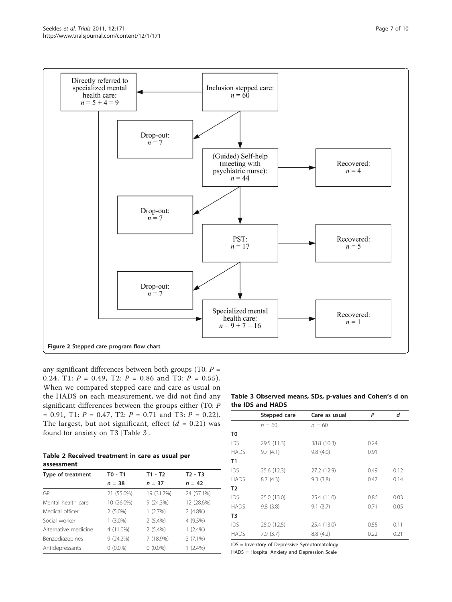<span id="page-6-0"></span>

any significant differences between both groups (T0:  $P =$ 0.24, T1:  $P = 0.49$ , T2:  $P = 0.86$  and T3:  $P = 0.55$ ). When we compared stepped care and care as usual on the HADS on each measurement, we did not find any significant differences between the groups either (T0: P  $= 0.91$ , T1:  $P = 0.47$ , T2:  $P = 0.71$  and T3:  $P = 0.22$ ). The largest, but not significant, effect  $(d = 0.21)$  was found for anxiety on T3 [Table 3].

Table 2 Received treatment in care as usual per assessment

| Type of treatment    | T0 - T1    | $T1 - T2$  | $T2 - T3$  |
|----------------------|------------|------------|------------|
|                      | $n = 38$   | $n = 37$   | $n = 42$   |
| GP                   | 21 (55.0%) | 19 (31.7%) | 24 (57.1%) |
| Mental health care   | 10 (26.0%) | 9(24.3%)   | 12 (28.6%) |
| Medical officer      | $2(5.0\%)$ | 1(2.7%)    | $2(4.8\%)$ |
| Social worker        | $1(3.0\%)$ | $2(5.4\%)$ | 4 (9.5%)   |
| Alternative medicine | 4 (11.0%)  | $2(5.4\%)$ | $1(2.4\%)$ |
| Benzodiazepines      | 9(24.2%)   | 7 (18.9%)  | $3(7.1\%)$ |
| Antidepressants      | $0(0.0\%)$ | $0(0.0\%)$ | $1(2.4\%)$ |

#### Table 3 Observed means, SDs, p-values and Cohen's d on the IDS and HADS

|             | Stepped care | Care as usual | P    | d    |
|-------------|--------------|---------------|------|------|
|             | $n = 60$     | $n = 60$      |      |      |
| T0          |              |               |      |      |
| IDS         | 29.5 (11.3)  | 38.8 (10.3)   | 0.24 |      |
| <b>HADS</b> | 9.7(4.1)     | 9.8(4.0)      | 0.91 |      |
| T1          |              |               |      |      |
| IDS         | 25.6 (12.3)  | 27.2 (12.9)   | 0.49 | 0.12 |
| <b>HADS</b> | 8.7(4.3)     | 9.3(3.8)      | 0.47 | 0.14 |
| T2          |              |               |      |      |
| IDS         | 25.0 (13.0)  | 25.4 (11.0)   | 0.86 | 0.03 |
| <b>HADS</b> | 9.8(3.8)     | 9.1(3.7)      | 0.71 | 0.05 |
| T3          |              |               |      |      |
| IDS         | 25.0 (12.5)  | 25.4 (13.0)   | 0.55 | 0.11 |
| <b>HADS</b> | 7.9(3.7)     | 8.8(4.2)      | 0.22 | 0.21 |

IDS = Inventory of Depressive Symptomatology

HADS = Hospital Anxiety and Depression Scale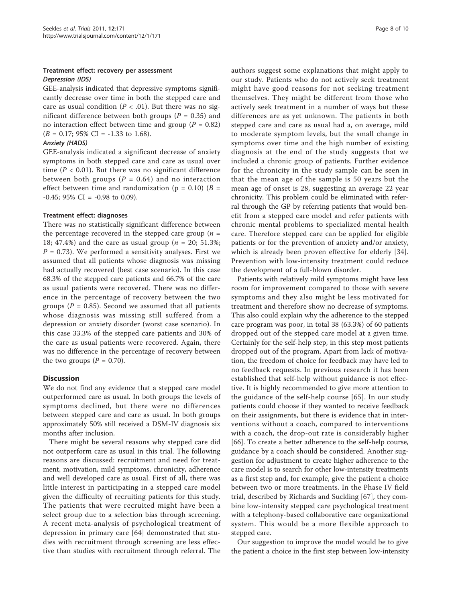# Treatment effect: recovery per assessment Depression (IDS)

GEE-analysis indicated that depressive symptoms significantly decrease over time in both the stepped care and care as usual condition ( $P < .01$ ). But there was no significant difference between both groups ( $P = 0.35$ ) and no interaction effect between time and group ( $P = 0.82$ )  $(B = 0.17; 95\% \text{ CI} = -1.33 \text{ to } 1.68).$ 

#### Anxiety (HADS)

GEE-analysis indicated a significant decrease of anxiety symptoms in both stepped care and care as usual over time ( $P < 0.01$ ). But there was no significant difference between both groups ( $P = 0.64$ ) and no interaction effect between time and randomization ( $p = 0.10$ ) ( $B =$  $-0.45$ ; 95% CI =  $-0.98$  to 0.09).

#### Treatment effect: diagnoses

There was no statistically significant difference between the percentage recovered in the stepped care group ( $n =$ 18; 47.4%) and the care as usual group ( $n = 20$ ; 51.3%;  $P = 0.73$ ). We performed a sensitivity analyses. First we assumed that all patients whose diagnosis was missing had actually recovered (best case scenario). In this case 68.3% of the stepped care patients and 66.7% of the care as usual patients were recovered. There was no difference in the percentage of recovery between the two groups ( $P = 0.85$ ). Second we assumed that all patients whose diagnosis was missing still suffered from a depression or anxiety disorder (worst case scenario). In this case 33.3% of the stepped care patients and 30% of the care as usual patients were recovered. Again, there was no difference in the percentage of recovery between the two groups  $(P = 0.70)$ .

# **Discussion**

We do not find any evidence that a stepped care model outperformed care as usual. In both groups the levels of symptoms declined, but there were no differences between stepped care and care as usual. In both groups approximately 50% still received a DSM-IV diagnosis six months after inclusion.

There might be several reasons why stepped care did not outperform care as usual in this trial. The following reasons are discussed: recruitment and need for treatment, motivation, mild symptoms, chronicity, adherence and well developed care as usual. First of all, there was little interest in participating in a stepped care model given the difficulty of recruiting patients for this study. The patients that were recruited might have been a select group due to a selection bias through screening. A recent meta-analysis of psychological treatment of depression in primary care [[64\]](#page-9-0) demonstrated that studies with recruitment through screening are less effective than studies with recruitment through referral. The authors suggest some explanations that might apply to our study. Patients who do not actively seek treatment might have good reasons for not seeking treatment themselves. They might be different from those who actively seek treatment in a number of ways but these differences are as yet unknown. The patients in both stepped care and care as usual had a, on average, mild to moderate symptom levels, but the small change in symptoms over time and the high number of existing diagnosis at the end of the study suggests that we included a chronic group of patients. Further evidence for the chronicity in the study sample can be seen in that the mean age of the sample is 50 years but the mean age of onset is 28, suggesting an average 22 year chronicity. This problem could be eliminated with referral through the GP by referring patients that would benefit from a stepped care model and refer patients with chronic mental problems to specialized mental health care. Therefore stepped care can be applied for eligible patients or for the prevention of anxiety and/or anxiety, which is already been proven effective for elderly [[34](#page-9-0)]. Prevention with low-intensity treatment could reduce the development of a full-blown disorder.

Patients with relatively mild symptoms might have less room for improvement compared to those with severe symptoms and they also might be less motivated for treatment and therefore show no decrease of symptoms. This also could explain why the adherence to the stepped care program was poor, in total 38 (63.3%) of 60 patients dropped out of the stepped care model at a given time. Certainly for the self-help step, in this step most patients dropped out of the program. Apart from lack of motivation, the freedom of choice for feedback may have led to no feedback requests. In previous research it has been established that self-help without guidance is not effective. It is highly recommended to give more attention to the guidance of the self-help course [[65\]](#page-9-0). In our study patients could choose if they wanted to receive feedback on their assignments, but there is evidence that in interventions without a coach, compared to interventions with a coach, the drop-out rate is considerably higher [[66\]](#page-9-0). To create a better adherence to the self-help course, guidance by a coach should be considered. Another suggestion for adjustment to create higher adherence to the care model is to search for other low-intensity treatments as a first step and, for example, give the patient a choice between two or more treatments. In the Phase IV field trial, described by Richards and Suckling [[67\]](#page-9-0), they combine low-intensity stepped care psychological treatment with a telephony-based collaborative care organizational system. This would be a more flexible approach to stepped care.

Our suggestion to improve the model would be to give the patient a choice in the first step between low-intensity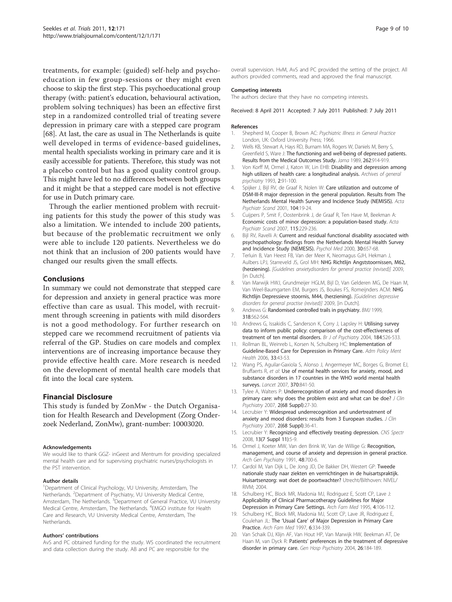<span id="page-8-0"></span>treatments, for example: (guided) self-help and psychoeducation in few group-sessions or they might even choose to skip the first step. This psychoeducational group therapy (with: patient's education, behavioural activation, problem solving techniques) has been an effective first step in a randomized controlled trial of treating severe depression in primary care with a stepped care program [[68\]](#page-9-0). At last, the care as usual in The Netherlands is quite well developed in terms of evidence-based guidelines, mental health specialists working in primary care and it is easily accessible for patients. Therefore, this study was not a placebo control but has a good quality control group. This might have led to no differences between both groups and it might be that a stepped care model is not effective for use in Dutch primary care.

Through the earlier mentioned problem with recruiting patients for this study the power of this study was also a limitation. We intended to include 200 patients, but because of the problematic recruitment we only were able to include 120 patients. Nevertheless we do not think that an inclusion of 200 patients would have changed our results given the small effects.

#### Conclusions

In summary we could not demonstrate that stepped care for depression and anxiety in general practice was more effective than care as usual. This model, with recruitment through screening in patients with mild disorders is not a good methodology. For further research on stepped care we recommend recruitment of patients via referral of the GP. Studies on care models and complex interventions are of increasing importance because they provide effective health care. More research is needed on the development of mental health care models that fit into the local care system.

# Financial Disclosure

This study is funded by ZonMw - the Dutch Organisation for Health Research and Development (Zorg Onderzoek Nederland, ZonMw), grant-number: 10003020.

#### Acknowledgements

We would like to thank GGZ- inGeest and Mentrum for providing specialized mental health care and for supervising psychiatric nurses/psychologists in the PST intervention.

#### Author details

<sup>1</sup>Department of Clinical Psychology, VU University, Amsterdam, The Netherlands. <sup>2</sup>Department of Psychiatry, VU University Medical Centre, Amsterdam, The Netherlands. <sup>3</sup> Department of General Practice, VU University Medical Centre, Amsterdam, The Netherlands. <sup>4</sup>EMGO institute for Health Care and Research, VU University Medical Centre, Amsterdam, The Netherlands.

#### Authors' contributions

AvS and PC obtained funding for the study. WS coordinated the recruitment and data collection during the study. AB and PC are responsible for the

overall supervision. HvM, AvS and PC provided the setting of the project. All authors provided comments, read and approved the final manuscript.

#### Competing interests

The authors declare that they have no competing interests.

Received: 8 April 2011 Accepted: 7 July 2011 Published: 7 July 2011

#### References

- 1. Shepherd M, Cooper B, Brown AC: Psychiatric Illness in General Practice London, UK: Oxford University Press; 1966.
- 2. Wells KB, Stewart A, Hays RD, Burnam MA, Rogers W, Daniels M, Berry S, Greenfield S, Ware J: [The functioning and well-being of depressed patients.](http://www.ncbi.nlm.nih.gov/pubmed/2754791?dopt=Abstract) [Results from the Medical Outcomes Study.](http://www.ncbi.nlm.nih.gov/pubmed/2754791?dopt=Abstract) Jama 1989, 262:914-919.
- 3. Von Korff M, Ormel J, Katon W, Lin EHB: Disability and depression among high utilizers of health care: a longitudinal analysis. Archives of general psychiatry 1993, 2:91-100.
- 4. Spijker J, Bijl RV, de Graaf R, Nolen W: [Care utilization and outcome of](http://www.ncbi.nlm.nih.gov/pubmed/11437745?dopt=Abstract) [DSM-III-R major depression in the general population. Results from The](http://www.ncbi.nlm.nih.gov/pubmed/11437745?dopt=Abstract) [Netherlands Mental Health Survey and Incidence Study \(NEMISIS\).](http://www.ncbi.nlm.nih.gov/pubmed/11437745?dopt=Abstract) Acta Psychiatr Scand 2001, 104:19-24.
- 5. Cuijpers P, Smit F, Oostenbrink J, de Graaf R, Ten Have M, Beekman A: [Economic costs of minor depression: a population-based study.](http://www.ncbi.nlm.nih.gov/pubmed/17302623?dopt=Abstract) Acta Psychiatr Scand 2007, 115:229-236.
- 6. Bijl RV, Ravelli A: [Current and residual functional disability associated with](http://www.ncbi.nlm.nih.gov/pubmed/10883720?dopt=Abstract) [psychopathology: findings from the Netherlands Mental Health Survey](http://www.ncbi.nlm.nih.gov/pubmed/10883720?dopt=Abstract) [and Incidence Study \(NEMESIS\).](http://www.ncbi.nlm.nih.gov/pubmed/10883720?dopt=Abstract) Psychol Med 2000, 30:657-68.
- 7. Terluin B, Van Heest FB, Van der Meer K, Neomagus GJH, Hekman J, Aulbers LPJ, Starreveld JS, Grol MH: NHG Richtlijn Angststoornissen, M62, (herziening). [Guidelines anxietydisorders for general practice (revised)] 2009, [in Dutch]
- 8. Van Marwijk HWJ, Grundmeijer HGLM, Bijl D, Van Gelderen MG, De Haan M, Van Weel-Baumgarten EM, Burgers JS, Boukes FS, Romeijnders ACM: NHG Richtlijn Depressieve stoornis, M44, (herziening). [Guidelines depressive disorders for general practise (revised)] 2009, [in Dutch].
- 9. Andrews G: Randomised controlled trails in psychiatry. BMJ 1999, 318:562-564.
- 10. Andrews G, Issakidis C, Sanderson K, Corry J, Lapsley H: Utilising survey data to inform public policy: comparison of the cost-effectiveness of treatment of ten mental disorders. Br J of Psychiatry 2004, 184:526-533.
- 11. Rollman BL, Weinreb L, Korsen N, Schulberg HC: [Implementation of](http://www.ncbi.nlm.nih.gov/pubmed/16215662?dopt=Abstract) [Guideline-Based Care for Depression in Primary Care.](http://www.ncbi.nlm.nih.gov/pubmed/16215662?dopt=Abstract) Adm Policy Ment Health 2006, 33:43-53.
- 12. Wang PS, Aguilar-Gaxiola S, Alonso J, Angermeyer MC, Borges G, Bromet EJ, Bruffaerts R, et al: [Use of mental health services for anxiety, mood, and](http://www.ncbi.nlm.nih.gov/pubmed/17826169?dopt=Abstract) [substance disorders in 17 countries in the WHO world mental health](http://www.ncbi.nlm.nih.gov/pubmed/17826169?dopt=Abstract) [surveys.](http://www.ncbi.nlm.nih.gov/pubmed/17826169?dopt=Abstract) Lancet 2007, 370:841-50.
- 13. Tylee A, Walters P: Underrecognition of anxiety and mood disorders in primary care: why does the problem exist and what can be doe? J Clin Psychiatry 2007, 2(68 Suppl):27-30.
- 14. Lecrubier Y: Widespread underrecognition and undertreatment of anxiety and mood disorders: results from 3 European studies. J Clin Psychiatry 2007, 2(68 Suppl):36-41.
- 15. Lecrubier Y: [Recognizing and effectively treating depression.](http://www.ncbi.nlm.nih.gov/pubmed/18955948?dopt=Abstract) CNS Spectr 2008, 13(7 Suppl 11):5-9.
- 16. Ormel J, Koeter MW, Van den Brink W, Van de Willige G: Recoanition. [management, and course of anxiety and depression in general practice.](http://www.ncbi.nlm.nih.gov/pubmed/1883252?dopt=Abstract) Arch Gen Psychiatry 1991, 48:700-6.
- 17. Cardol M, Van Dijk L, De Jong JD, De Bakker DH, Westert GP: Tweede nationale study naar ziekten en verrrichtingen in de huisartspraktijk. Huisartsenzorg: wat doet de poortwachter? Utrecht/Bilthoven: NIVEL/ RIVM; 2004.
- 18. Schulberg HC, Block MR, Madonia MJ, Rodriguez E, Scott CP, Lave J: [Applicability of Clinical Pharmacotherapy Guidelines for Major](http://www.ncbi.nlm.nih.gov/pubmed/7842147?dopt=Abstract) [Depression in Primary Care Settings.](http://www.ncbi.nlm.nih.gov/pubmed/7842147?dopt=Abstract) Arch Fam Med 1995, 4:106-112.
- 19. Schulberg HC, Block MR, Madonia MJ, Scott CP, Lave JR, Rodriguez E, Coulehan JL: The 'Usual Care' [of Major Depression in Primary Care](http://www.ncbi.nlm.nih.gov/pubmed/9225703?dopt=Abstract) [Practice.](http://www.ncbi.nlm.nih.gov/pubmed/9225703?dopt=Abstract) Arch Fam Med 1997, 6:334-339.
- 20. Van Schaik DJ, Klijn AF, Van Hout HP, Van Marwijk HW, Beekman AT, De Haan M, van Dyck R: Patients' [preferences in the treatment of depressive](http://www.ncbi.nlm.nih.gov/pubmed/15121346?dopt=Abstract) [disorder in primary care.](http://www.ncbi.nlm.nih.gov/pubmed/15121346?dopt=Abstract) Gen Hosp Psychiatry 2004, 26:184-189.